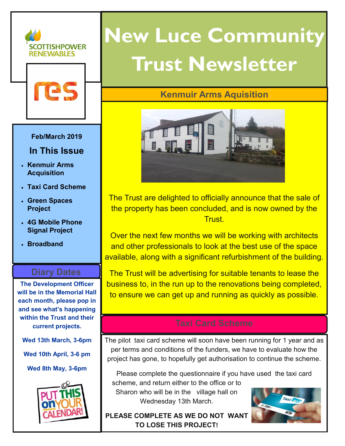



#### **Feb/March 2019**

### **In This Issue**

- **Kenmuir Arms Acquisition**
- **Taxi Card Scheme**
- **Green Spaces Project**
- **4G Mobile Phone Signal Project**
- **Broadband**

### **Diary Dates**

**The Development Officer will be in the Memorial Hall each month, please pop in and see what's happening within the Trust and their current projects.**

**Wed 13th March, 3-6pm**

**Wed 10th April, 3-6 pm**

**Wed 8th May, 3-6pm**



### **New Luce Community Trust Newsletter**

### **Kenmuir Arms Aquisition**



The Trust are delighted to officially announce that the sale of the property has been concluded, and is now owned by the Trust.

Over the next few months we will be working with architects and other professionals to look at the best use of the space available, along with a significant refurbishment of the building.

The Trust will be advertising for suitable tenants to lease the business to, in the run up to the renovations being completed, to ensure we can get up and running as quickly as possible.

The pilot taxi card scheme will soon have been running for 1 year and as per terms and conditions of the funders, we have to evaluate how the project has gone, to hopefully get authorisation to continue the scheme.

Please complete the questionnaire if you have used the taxi card scheme, and return either to the office or to

Sharon who will be in the village hall on Wednesday 13th March.



**PLEASE COMPLETE AS WE DO NOT WANT TO LOSE THIS PROJECT!**